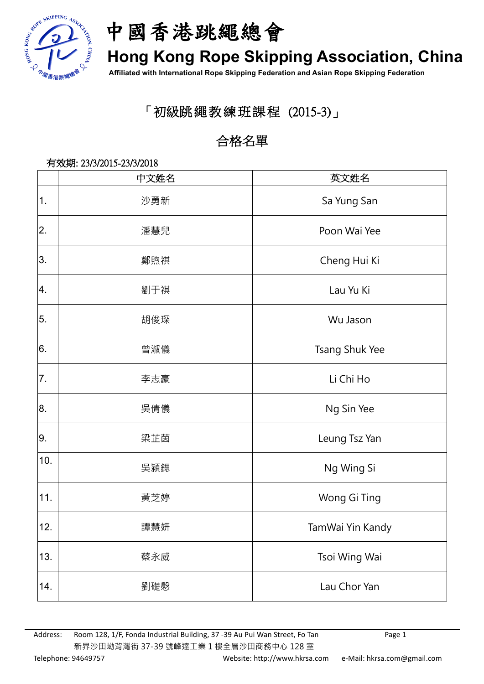



## **Hong Kong Rope Skipping Association, China**

**Affiliated with International Rope Skipping Federation and Asian Rope Skipping Federation**

### 「初級跳繩教練班課程 (2015-3)」

### 合格名單

# 有效期: 23/3/2015-23/3/2018 中文姓名 インフィッシュ しょうしょう おくみつ 英文姓名 1. | わたりの | おりの | Sa Yung San 2. 2 潘慧兒 Poon Wai Yee |3. | 鄭煦祺 | Cheng Hui Ki 4. 4 劉于祺 Lau Yu Ki 5. 5 胡俊琛 Wu Jason l<sup>6.</sup> Tsang Shuk Yee ぎゃくりょう 普淑儀 ファイル コンピュータ Tsang Shuk Yee 7. 7 李志豪 Li Chi Ho 8. 2. 医情儀 2. 1. 2. 2. 2. Ng Sin Yee 9. 9 梁芷茵 Leung Tsz Yan  $10<sup>-1</sup>$ <sup>0</sup> 吳潁鍶 Ng Wing Si 11. | 黃芝婷 | Wong Gi Ting 12. ┃ 譚慧妍 TamWai Yin Kandy 13. │ 蔡永威 Tsoi Wing Wai 14. | 劉礎慇 Lau Chor Yan

Address: Room 128, 1/F, Fonda Industrial Building, 37 -39 Au Pui Wan Street, Fo Tan Page 1 新界沙田坳背灣街 37-39 號峰達工業 1 樓全層沙田商務中心 128 室 Telephone: 94649757 (852) Telephone: 94649757 (852) Website: http://www.hkrsa.com e-Mail: hkrsa.com@gmail.com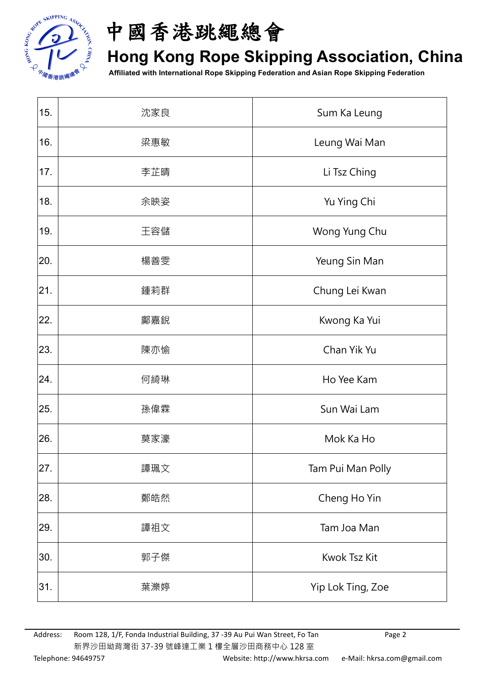



## **Hong Kong Rope Skipping Association, China**

**Affiliated with International Rope Skipping Federation and Asian Rope Skipping Federation**

| 15. | 沈家良 | Sum Ka Leung      |
|-----|-----|-------------------|
| 16. | 梁惠敏 | Leung Wai Man     |
| 17. | 李芷晴 | Li Tsz Ching      |
| 18. | 余映姿 | Yu Ying Chi       |
| 19. | 王容儲 | Wong Yung Chu     |
| 20. | 楊善雯 | Yeung Sin Man     |
| 21. | 鍾莉群 | Chung Lei Kwan    |
| 22. | 鄺嘉銳 | Kwong Ka Yui      |
| 23. | 陳亦愉 | Chan Yik Yu       |
| 24. | 何綺琳 | Ho Yee Kam        |
| 25. | 孫偉霖 | Sun Wai Lam       |
| 26. | 莫家濠 | Mok Ka Ho         |
| 27. | 譚珮文 | Tam Pui Man Polly |
| 28. | 鄭皓然 | Cheng Ho Yin      |
| 29. | 譚祖文 | Tam Joa Man       |
| 30. | 郭子傑 | Kwok Tsz Kit      |
| 31. | 葉濼婷 | Yip Lok Ting, Zoe |